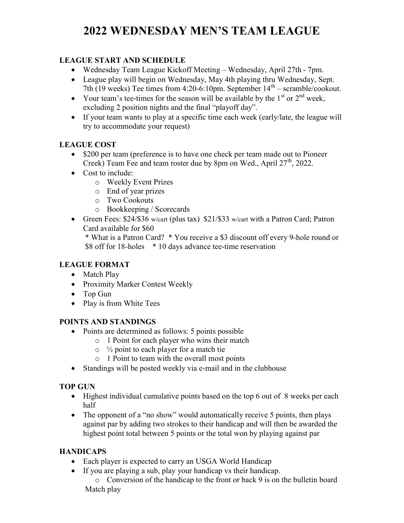# 2022 WEDNESDAY MEN'S TEAM LEAGUE

# LEAGUE START AND SCHEDULE

- Wednesday Team League Kickoff Meeting Wednesday, April 27th 7pm.
- League play will begin on Wednesday, May 4th playing thru Wednesday, Sept. 7th (19 weeks) Tee times from 4:20-6:10pm. September  $14<sup>th</sup>$  – scramble/cookout.
- Your team's tee-times for the season will be available by the  $1<sup>st</sup>$  or  $2<sup>nd</sup>$  week, excluding 2 position nights and the final "playoff day".
- If your team wants to play at a specific time each week (early/late, the league will try to accommodate your request)

#### LEAGUE COST

- \$200 per team (preference is to have one check per team made out to Pioneer Creek) Team Fee and team roster due by 8pm on Wed., April 27<sup>th</sup>, 2022.
- Cost to include:
	- o Weekly Event Prizes
	- o End of year prizes
	- o Two Cookouts
	- o Bookkeeping / Scorecards
- Green Fees: \$24/\$36 w/cart (plus tax) \$21/\$33 w/cart with a Patron Card; Patron Card available for \$60

\* What is a Patron Card? \* You receive a \$3 discount off every 9-hole round or \$8 off for 18-holes \* 10 days advance tee-time reservation

# LEAGUE FORMAT

- Match Play
- Proximity Marker Contest Weekly
- Top Gun
- Play is from White Tees

#### POINTS AND STANDINGS

- Points are determined as follows: 5 points possible
	- o 1 Point for each player who wins their match
	- $\circ$  <sup>1</sup>/<sub>2</sub> point to each player for a match tie
	- o 1 Point to team with the overall most points
- Standings will be posted weekly via e-mail and in the clubhouse

# TOP GUN

- Highest individual cumulative points based on the top 6 out of 8 weeks per each half
- The opponent of a "no show" would automatically receive 5 points, then plays against par by adding two strokes to their handicap and will then be awarded the highest point total between 5 points or the total won by playing against par

# **HANDICAPS**

- Each player is expected to carry an USGA World Handicap
- If you are playing a sub, play your handicap vs their handicap.

o Conversion of the handicap to the front or back 9 is on the bulletin board Match play